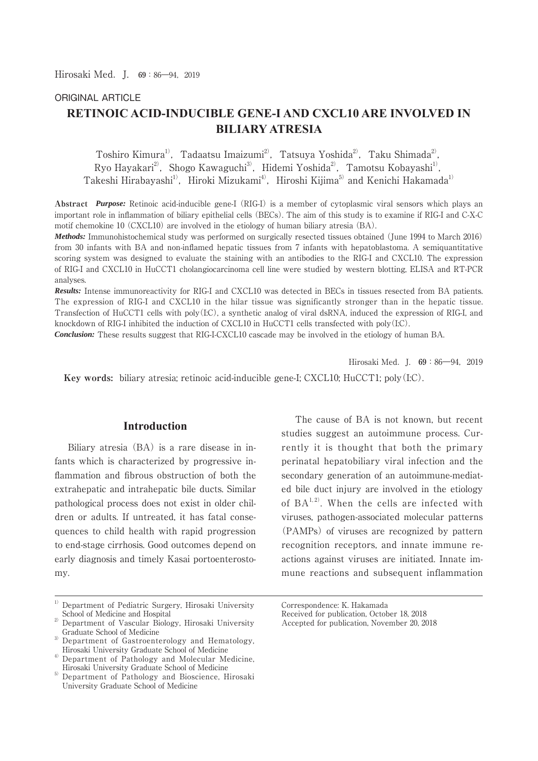### ORIGINAL ARTICLE

# **RETINOIC ACID-INDUCIBLE GENE-I AND CXCL10 ARE INVOLVED IN BILIARY ATRESIA**

Toshiro Kimura<sup>1)</sup>, Tadaatsu Imaizumi<sup>2)</sup>, Tatsuya Yoshida<sup>2)</sup>, Taku Shimada<sup>2)</sup>, Ryo Hayakari<sup>2</sup>, Shogo Kawaguchi<sup>3)</sup>, Hidemi Yoshida<sup>2</sup>, Tamotsu Kobayashi<sup>1)</sup>, Takeshi Hirabayashi<sup>1)</sup>, Hiroki Mizukami<sup>4)</sup>, Hiroshi Kijima<sup>5)</sup> and Kenichi Hakamada<sup>1)</sup>

**Abstract** *Purpose:* Retinoic acid-inducible gene-I (RIG-I) is a member of cytoplasmic viral sensors which plays an important role in inflammation of biliary epithelial cells (BECs). The aim of this study is to examine if RIG-I and C-X-C motif chemokine 10 (CXCL10) are involved in the etiology of human biliary atresia (BA).

*Methods:* Immunohistochemical study was performed on surgically resected tissues obtained (June 1994 to March 2016) from 30 infants with BA and non-inflamed hepatic tissues from 7 infants with hepatoblastoma. A semiquantitative scoring system was designed to evaluate the staining with an antibodies to the RIG-I and CXCL10. The expression of RIG-I and CXCL10 in HuCCT1 cholangiocarcinoma cell line were studied by western blotting, ELISA and RT-PCR analyses.

*Results:* Intense immunoreactivity for RIG-I and CXCL10 was detected in BECs in tissues resected from BA patients. The expression of RIG-I and CXCL10 in the hilar tissue was significantly stronger than in the hepatic tissue. Transfection of HuCCT1 cells with poly(I:C), a synthetic analog of viral dsRNA, induced the expression of RIG-I, and knockdown of RIG-I inhibited the induction of CXCL10 in HuCCT1 cells transfected with poly(I:C).

*Conclusion:* These results suggest that RIG-I-CXCL10 cascade may be involved in the etiology of human BA.

Hirosaki Med. I.  $69:86-94$ , 2019

 **Key words:** biliary atresia; retinoic acid-inducible gene-I; CXCL10; HuCCT1; poly(I:C).

#### **Introduction**

 Biliary atresia (BA) is a rare disease in infants which is characterized by progressive inflammation and fibrous obstruction of both the extrahepatic and intrahepatic bile ducts. Similar pathological process does not exist in older children or adults. If untreated, it has fatal consequences to child health with rapid progression to end-stage cirrhosis. Good outcomes depend on early diagnosis and timely Kasai portoenterostomy.

 The cause of BA is not known, but recent studies suggest an autoimmune process. Currently it is thought that both the primary perinatal hepatobiliary viral infection and the secondary generation of an autoimmune-mediated bile duct injury are involved in the etiology of  $BA^{1,2}$ . When the cells are infected with viruses, pathogen-associated molecular patterns (PAMPs) of viruses are recognized by pattern recognition receptors, and innate immune reactions against viruses are initiated. Innate immune reactions and subsequent inflammation

<sup>1)</sup> Department of Pediatric Surgery, Hirosaki University School of Medicine and Hospital

<sup>2)</sup> Department of Vascular Biology, Hirosaki University Graduate School of Medicine

<sup>&</sup>lt;sup>3)</sup> Department of Gastroenterology and Hematology, Hirosaki University Graduate School of Medicine

<sup>4)</sup> Department of Pathology and Molecular Medicine, Hirosaki University Graduate School of Medicine

<sup>&</sup>lt;sup>5)</sup> Department of Pathology and Bioscience, Hirosaki University Graduate School of Medicine

Correspondence: K. Hakamada

Received for publication, October 18, 2018

Accepted for publication, November 20, 2018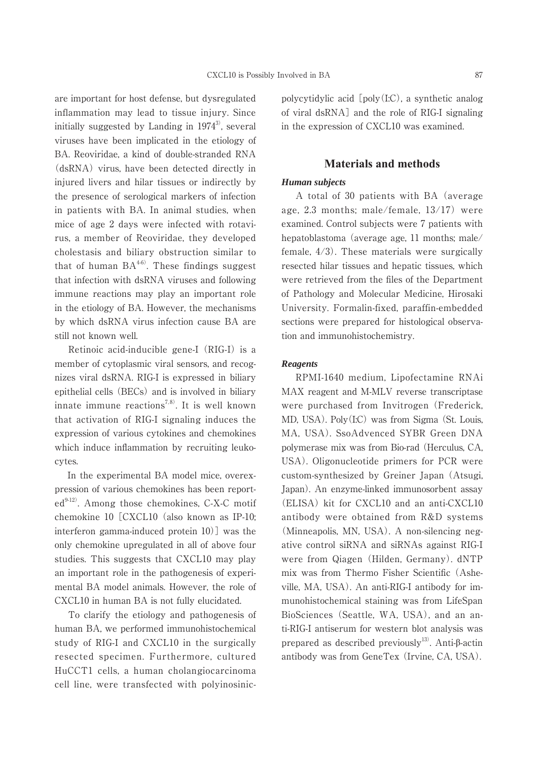are important for host defense, but dysregulated inflammation may lead to tissue injury. Since initially suggested by Landing in  $1974^3$ , several viruses have been implicated in the etiology of BA. Reoviridae, a kind of double-stranded RNA (dsRNA) virus, have been detected directly in injured livers and hilar tissues or indirectly by the presence of serological markers of infection in patients with BA. In animal studies, when mice of age 2 days were infected with rotavirus, a member of Reoviridae, they developed cholestasis and biliary obstruction similar to that of human  $BA^{4-6}$ . These findings suggest that infection with dsRNA viruses and following immune reactions may play an important role in the etiology of BA. However, the mechanisms by which dsRNA virus infection cause BA are still not known well.

 Retinoic acid-inducible gene-I (RIG-I) is a member of cytoplasmic viral sensors, and recognizes viral dsRNA. RIG-I is expressed in biliary epithelial cells (BECs) and is involved in biliary innate immune reactions<sup>7,8)</sup>. It is well known that activation of RIG-I signaling induces the expression of various cytokines and chemokines which induce inflammation by recruiting leukocytes.

 In the experimental BA model mice, overexpression of various chemokines has been report $ed^{9-12}$ . Among those chemokines, C-X-C motif chemokine 10 [CXCL10 (also known as IP-10; interferon gamma-induced protein 10)] was the only chemokine upregulated in all of above four studies. This suggests that CXCL10 may play an important role in the pathogenesis of experimental BA model animals. However, the role of CXCL10 in human BA is not fully elucidated.

 To clarify the etiology and pathogenesis of human BA, we performed immunohistochemical study of RIG-I and CXCL10 in the surgically resected specimen. Furthermore, cultured HuCCT1 cells, a human cholangiocarcinoma cell line, were transfected with polyinosinicpolycytidylic acid [poly(I:C), a synthetic analog of viral dsRNA] and the role of RIG-I signaling in the expression of CXCL10 was examined.

#### **Materials and methods**

### *Human subjects*

 A total of 30 patients with BA (average age, 2.3 months; male/female, 13/17) were examined. Control subjects were 7 patients with hepatoblastoma (average age, 11 months; male/ female, 4/3). These materials were surgically resected hilar tissues and hepatic tissues, which were retrieved from the files of the Department of Pathology and Molecular Medicine, Hirosaki University. Formalin-fixed, paraffin-embedded sections were prepared for histological observation and immunohistochemistry.

#### *Reagents*

 RPMI-1640 medium, Lipofectamine RNAi MAX reagent and M-MLV reverse transcriptase were purchased from Invitrogen (Frederick, MD, USA). Poly(I:C) was from Sigma (St. Louis, MA, USA). SsoAdvenced SYBR Green DNA polymerase mix was from Bio-rad (Herculus, CA, USA). Oligonucleotide primers for PCR were custom-synthesized by Greiner Japan (Atsugi, Japan). An enzyme-linked immunosorbent assay (ELISA) kit for CXCL10 and an anti-CXCL10 antibody were obtained from R&D systems (Minneapolis, MN, USA). A non-silencing negative control siRNA and siRNAs against RIG-I were from Qiagen (Hilden, Germany). dNTP mix was from Thermo Fisher Scientific (Asheville, MA, USA). An anti-RIG-I antibody for immunohistochemical staining was from LifeSpan BioSciences (Seattle, WA, USA), and an anti-RIG-I antiserum for western blot analysis was prepared as described previously<sup>13)</sup>. Anti- $\beta$ -actin antibody was from GeneTex (Irvine, CA, USA).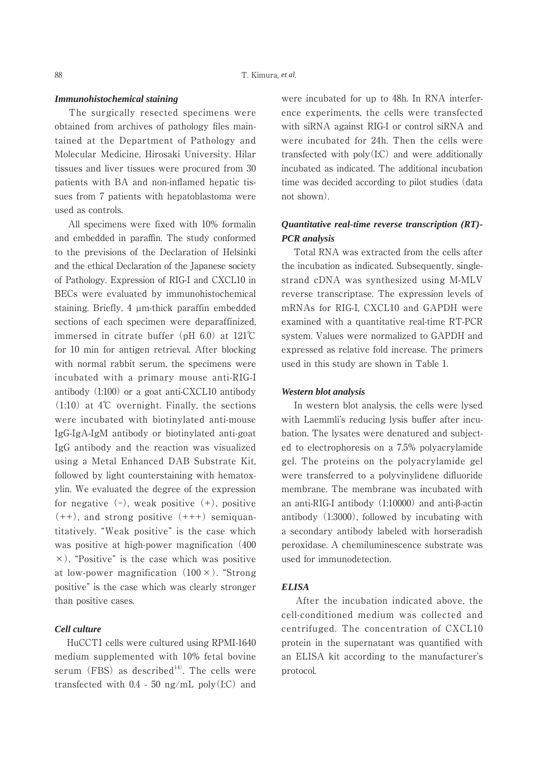#### *Immunohistochemical staining*

 The surgically resected specimens were obtained from archives of pathology files maintained at the Department of Pathology and Molecular Medicine, Hirosaki University. Hilar tissues and liver tissues were procured from 30 patients with BA and non-inflamed hepatic tissues from 7 patients with hepatoblastoma were used as controls.

 All specimens were fixed with 10% formalin and embedded in paraffin. The study conformed to the previsions of the Declaration of Helsinki and the ethical Declaration of the Japanese society of Pathology. Expression of RIG-I and CXCL10 in BECs were evaluated by immunohistochemical staining. Briefly, 4 µm-thick paraffin embedded sections of each specimen were deparaffinized, immersed in citrate buffer (pH 6.0) at 121℃ for 10 min for antigen retrieval. After blocking with normal rabbit serum, the specimens were incubated with a primary mouse anti-RIG-I antibody (1:100) or a goat anti-CXCL10 antibody (1:10) at 4℃ overnight. Finally, the sections were incubated with biotinylated anti-mouse IgG-IgA-IgM antibody or biotinylated anti-goat IgG antibody and the reaction was visualized using a Metal Enhanced DAB Substrate Kit, followed by light counterstaining with hematoxylin. We evaluated the degree of the expression for negative  $(-)$ , weak positive  $(+)$ , positive  $(++)$ , and strong positive  $(+++)$  semiquantitatively. "Weak positive" is the case which was positive at high-power magnification (400  $\times$ ). "Positive" is the case which was positive at low-power magnification  $(100 \times)$ . "Strong positive" is the case which was clearly stronger than positive cases.

#### *Cell culture*

 HuCCT1 cells were cultured using RPMI-1640 medium supplemented with 10% fetal bovine serum (FBS) as described<sup>14)</sup>. The cells were transfected with  $0.4 - 50$  ng/mL poly $(I:C)$  and were incubated for up to 48h. In RNA interference experiments, the cells were transfected with siRNA against RIG-I or control siRNA and were incubated for 24h. Then the cells were transfected with poly(I:C) and were additionally incubated as indicated. The additional incubation time was decided according to pilot studies (data not shown).

## *Quantitative real-time reverse transcription (RT)- PCR analysis*

 Total RNA was extracted from the cells after the incubation as indicated. Subsequently, singlestrand cDNA was synthesized using M-MLV reverse transcriptase. The expression levels of mRNAs for RIG-I, CXCL10 and GAPDH were examined with a quantitative real-time RT-PCR system. Values were normalized to GAPDH and expressed as relative fold increase. The primers used in this study are shown in Table 1.

#### *Western blot analysis*

 In western blot analysis, the cells were lysed with Laemmli's reducing lysis buffer after incubation. The lysates were denatured and subjected to electrophoresis on a 7.5% polyacrylamide gel. The proteins on the polyacrylamide gel were transferred to a polyvinylidene difluoride membrane. The membrane was incubated with an anti-RIG-I antibody  $(1:10000)$  and anti- $\beta$ -actin antibody (1:3000), followed by incubating with a secondary antibody labeled with horseradish peroxidase. A chemiluminescence substrate was used for immunodetection.

#### *ELISA*

 After the incubation indicated above, the cell-conditioned medium was collected and centrifuged. The concentration of CXCL10 protein in the supernatant was quantified with an ELISA kit according to the manufacturer's protocol.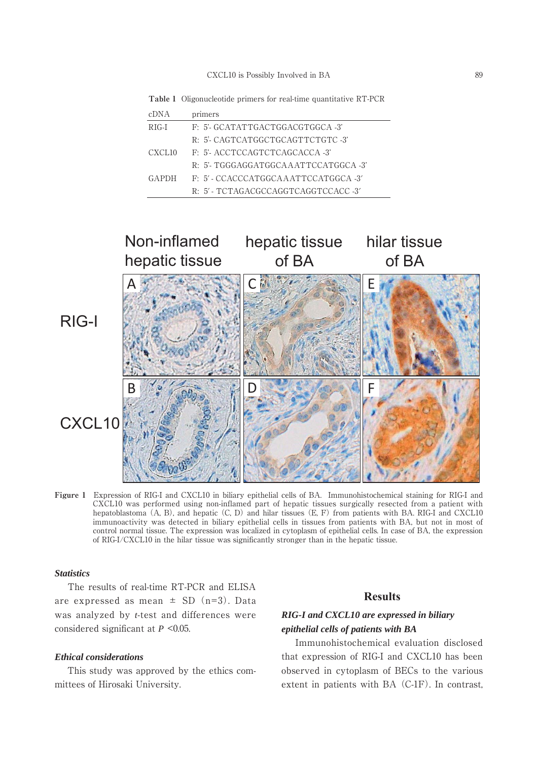**Table 1** Oligonucleotide primers for real-time quantitative RT-PCR

| cDNA               | primers                                |
|--------------------|----------------------------------------|
| $RIG-I$            | F: 5'-GCATATTGACTGGACGTGGCA-3'         |
|                    | R: 5'-CAGTCATGGCTGCAGTTCTGTC-3'        |
| CXCL <sub>10</sub> | F: 5'- ACCTCCAGTCTCAGCACCA -3'         |
|                    | R: 5'- TGGGAGGATGGCA A ATTCCATGGCA -3' |
| <b>GAPDH</b>       | F: 5' - CCACCCATGGCAAATTCCATGGCA -3'   |
|                    | R: 5' - TCTAGACGCCAGGTCAGGTCCACC -3'   |



**Figure 1** Expression of RIG-I and CXCL10 in biliary epithelial cells of BA. Immunohistochemical staining for RIG-I and CXCL10 was performed using non-inflamed part of hepatic tissues surgically resected from a patient with hepatoblastoma (A, B), and hepatic (C, D) and hilar tissues (E, F) from patients with BA. RIG-I and CXCL10 immunoactivity was detected in biliary epithelial cells in tissues from patients with BA, but not in most of control normal tissue. The expression was localized in cytoplasm of epithelial cells. In case of BA, the expression of RIG-I/CXCL10 in the hilar tissue was significantly stronger than in the hepatic tissue.

#### *Statistics*

 The results of real-time RT-PCR and ELISA are expressed as mean  $\pm$  SD (n=3). Data was analyzed by *t*-test and differences were considered significant at *P* <0.05.

#### *Ethical considerations*

 This study was approved by the ethics committees of Hirosaki University.

## **Results**

# *RIG-I and CXCL10 are expressed in biliary epithelial cells of patients with BA*

 Immunohistochemical evaluation disclosed that expression of RIG-I and CXCL10 has been observed in cytoplasm of BECs to the various extent in patients with BA (C-1F). In contrast,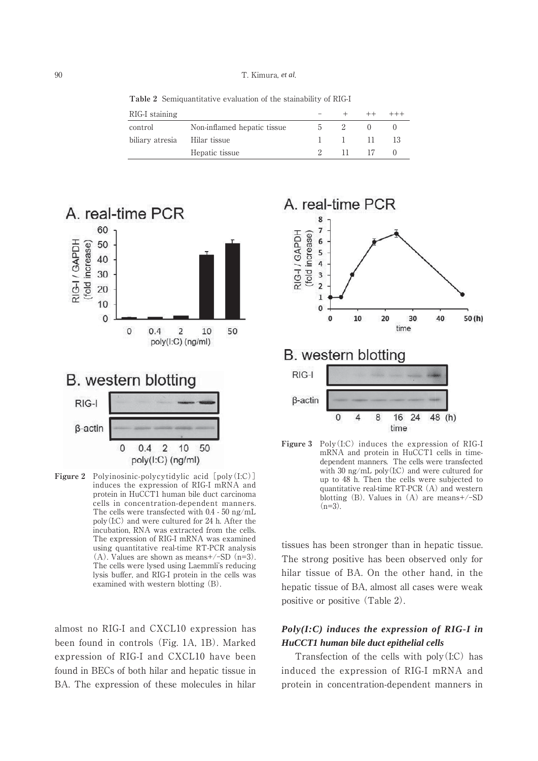**Table 2** Semiquantitative evaluation of the stainability of RIG-I

| RIG-I staining  |                             |                          |                |     |
|-----------------|-----------------------------|--------------------------|----------------|-----|
| control         | Non-inflamed hepatic tissue |                          |                |     |
| biliary atresia | Hilar tissue                | <b>Contract Contract</b> | $\blacksquare$ | -13 |
|                 | Hepatic tissue              | $\mathbf{11}$            | - 17           |     |



**Figure 2** Polyinosinic-polycytidylic acid [poly(I:C)] induces the expression of RIG-I mRNA and protein in HuCCT1 human bile duct carcinoma cells in concentration-dependent manners. The cells were transfected with 0.4 - 50 ng/mL poly(I:C) and were cultured for 24 h. After the incubation, RNA was extracted from the cells. The expression of RIG-I mRNA was examined using quantitative real-time RT-PCR analysis (A). Values are shown as means+/-SD (n=3). The cells were lysed using Laemmli's reducing lysis buffer, and RIG-I protein in the cells was examined with western blotting (B).

 $\mathbf{0}$ 

 $0.4$ 

 $\overline{2}$ 

poly(I:C) (ng/ml)

10

50

almost no RIG-I and CXCL10 expression has been found in controls (Fig. 1A, 1B). Marked expression of RIG-I and CXCL10 have been found in BECs of both hilar and hepatic tissue in BA. The expression of these molecules in hilar



dependent manners. The cells were transfected with 30 ng/mL poly(I:C) and were cultured for up to 48 h. Then the cells were subjected to quantitative real-time RT-PCR (A) and western blotting (B). Values in (A) are means+/-SD  $(n=3)$ .

tissues has been stronger than in hepatic tissue. The strong positive has been observed only for hilar tissue of BA. On the other hand, in the hepatic tissue of BA, almost all cases were weak positive or positive (Table 2).

# *Poly(I:C) induces the expression of RIG-I in HuCCT1 human bile duct epithelial cells*

 Transfection of the cells with poly(I:C) has induced the expression of RIG-I mRNA and protein in concentration-dependent manners in

<sup>90</sup> T. Kimura, *et al*.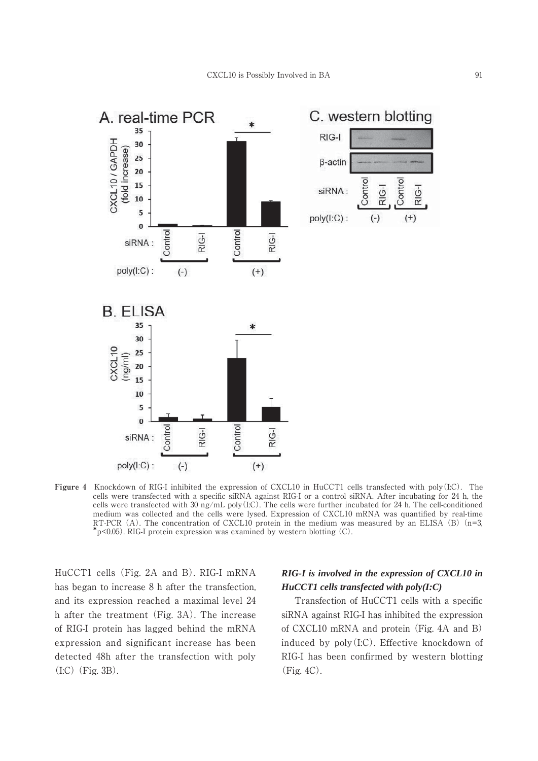

**Figure 4** Knockdown of RIG-I inhibited the expression of CXCL10 in HuCCT1 cells transfected with poly(I:C). The cells were transfected with a specific siRNA against RIG-I or a control siRNA. After incubating for 24 h, the cells were transfected with 30 ng/mL poly(I:C). The cells were further incubated for 24 h. The cell-conditioned medium was collected and the cells were lysed. Expression of CXCL10 mRNA was quantified by real-time RT-PCR (A). The concentration of CXCL10 protein in the medium was measured by an ELISA (B) (n=3,  $*p<0.05$ ). RIG-I protein expression was examined by western blotting (C).

HuCCT1 cells (Fig. 2A and B). RIG-I mRNA has began to increase 8 h after the transfection, and its expression reached a maximal level 24 h after the treatment (Fig. 3A). The increase of RIG-I protein has lagged behind the mRNA expression and significant increase has been detected 48h after the transfection with poly  $(I:C)$  (Fig. 3B).

# *RIG-I is involved in the expression of CXCL10 in HuCCT1 cells transfected with poly(I:C)*

 Transfection of HuCCT1 cells with a specific siRNA against RIG-I has inhibited the expression of CXCL10 mRNA and protein (Fig. 4A and B) induced by poly(I:C). Effective knockdown of RIG-I has been confirmed by western blotting (Fig. 4C).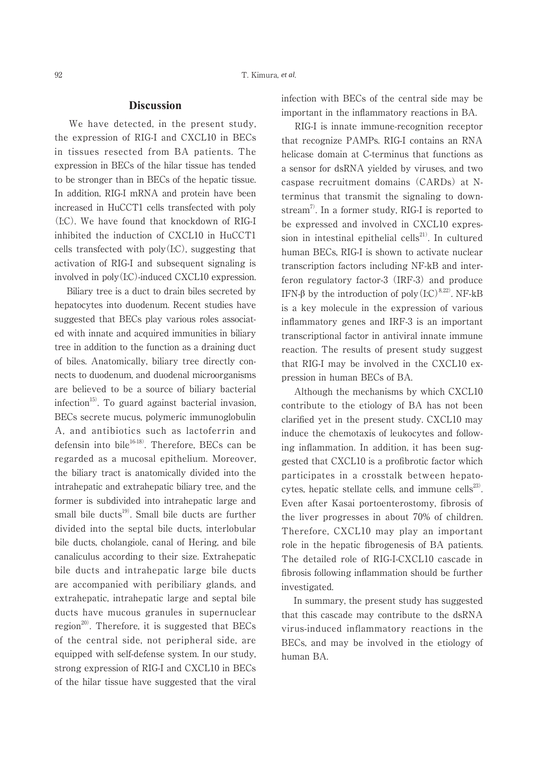## **Discussion**

 We have detected, in the present study, the expression of RIG-I and CXCL10 in BECs in tissues resected from BA patients. The expression in BECs of the hilar tissue has tended to be stronger than in BECs of the hepatic tissue. In addition, RIG-I mRNA and protein have been increased in HuCCT1 cells transfected with poly (I:C). We have found that knockdown of RIG-I inhibited the induction of CXCL10 in HuCCT1 cells transfected with  $poly(I:C)$ , suggesting that activation of RIG-I and subsequent signaling is involved in poly(I:C)-induced CXCL10 expression.

 Biliary tree is a duct to drain biles secreted by hepatocytes into duodenum. Recent studies have suggested that BECs play various roles associated with innate and acquired immunities in biliary tree in addition to the function as a draining duct of biles. Anatomically, biliary tree directly connects to duodenum, and duodenal microorganisms are believed to be a source of biliary bacterial  $infection<sup>15</sup>$ . To guard against bacterial invasion, BECs secrete mucus, polymeric immunoglobulin A, and antibiotics such as lactoferrin and defensin into bile $^{16-18}$ . Therefore, BECs can be regarded as a mucosal epithelium. Moreover, the biliary tract is anatomically divided into the intrahepatic and extrahepatic biliary tree, and the former is subdivided into intrahepatic large and small bile ducts<sup>19)</sup>. Small bile ducts are further divided into the septal bile ducts, interlobular bile ducts, cholangiole, canal of Hering, and bile canaliculus according to their size. Extrahepatic bile ducts and intrahepatic large bile ducts are accompanied with peribiliary glands, and extrahepatic, intrahepatic large and septal bile ducts have mucous granules in supernuclear region<sup>20)</sup>. Therefore, it is suggested that BECs of the central side, not peripheral side, are equipped with self-defense system. In our study, strong expression of RIG-I and CXCL10 in BECs of the hilar tissue have suggested that the viral infection with BECs of the central side may be important in the inflammatory reactions in BA.

 RIG-I is innate immune-recognition receptor that recognize PAMPs. RIG-I contains an RNA helicase domain at C-terminus that functions as a sensor for dsRNA yielded by viruses, and two caspase recruitment domains (CARDs) at Nterminus that transmit the signaling to downstream<sup>7</sup>. In a former study, RIG-I is reported to be expressed and involved in CXCL10 expression in intestinal epithelial cells $^{21}$ . In cultured human BECs, RIG-I is shown to activate nuclear transcription factors including NF-kB and interferon regulatory factor-3 (IRF-3) and produce IFN- $\beta$  by the introduction of poly $(L.C)^{8, 22}$ . NF-kB is a key molecule in the expression of various inflammatory genes and IRF-3 is an important transcriptional factor in antiviral innate immune reaction. The results of present study suggest that RIG-I may be involved in the CXCL10 expression in human BECs of BA.

 Although the mechanisms by which CXCL10 contribute to the etiology of BA has not been clarified yet in the present study. CXCL10 may induce the chemotaxis of leukocytes and following inflammation. In addition, it has been suggested that CXCL10 is a profibrotic factor which participates in a crosstalk between hepatocytes, hepatic stellate cells, and immune cells $^{23}$ . Even after Kasai portoenterostomy, fibrosis of the liver progresses in about 70% of children. Therefore, CXCL10 may play an important role in the hepatic fibrogenesis of BA patients. The detailed role of RIG-I-CXCL10 cascade in fibrosis following inflammation should be further investigated.

 In summary, the present study has suggested that this cascade may contribute to the dsRNA virus-induced inflammatory reactions in the BECs, and may be involved in the etiology of human BA.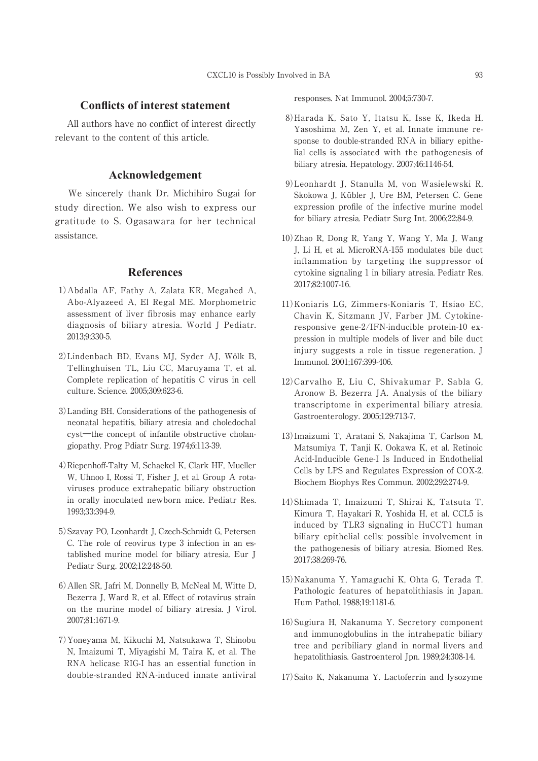### **Conflicts of interest statement**

 All authors have no conflict of interest directly relevant to the content of this article.

## **Acknowledgement**

 We sincerely thank Dr. Michihiro Sugai for study direction. We also wish to express our gratitude to S. Ogasawara for her technical assistance.

## **References**

- 1)Abdalla AF, Fathy A, Zalata KR, Megahed A, Abo-Alyazeed A, El Regal ME. Morphometric assessment of liver fibrosis may enhance early diagnosis of biliary atresia. World J Pediatr. 2013;9:330-5.
- 2)Lindenbach BD, Evans MJ, Syder AJ, Wölk B, Tellinghuisen TL, Liu CC, Maruyama T, et al. Complete replication of hepatitis C virus in cell culture. Science. 2005;309:623-6.
- 3)Landing BH. Considerations of the pathogenesis of neonatal hepatitis, biliary atresia and choledochal cyst―the concept of infantile obstructive cholangiopathy. Prog Pdiatr Surg. 1974;6:113-39.
- 4)Riepenhoff-Talty M, Schaekel K, Clark HF, Mueller W, Uhnoo I, Rossi T, Fisher J, et al. Group A rotaviruses produce extrahepatic biliary obstruction in orally inoculated newborn mice. Pediatr Res. 1993;33:394-9.
- 5)Szavay PO, Leonhardt J, Czech-Schmidt G, Petersen C. The role of reovirus type 3 infection in an established murine model for biliary atresia. Eur J Pediatr Surg. 2002;12:248-50.
- 6)Allen SR, Jafri M, Donnelly B, McNeal M, Witte D, Bezerra J, Ward R, et al. Effect of rotavirus strain on the murine model of biliary atresia. J Virol. 2007;81:1671-9.
- 7)Yoneyama M, Kikuchi M, Natsukawa T, Shinobu N, Imaizumi T, Miyagishi M, Taira K, et al. The RNA helicase RIG-I has an essential function in double-stranded RNA-induced innate antiviral

responses. Nat Immunol. 2004;5:730-7.

- 8)Harada K, Sato Y, Itatsu K, Isse K, Ikeda H, Yasoshima M, Zen Y, et al. Innate immune response to double-stranded RNA in biliary epithelial cells is associated with the pathogenesis of biliary atresia. Hepatology. 2007;46:1146-54.
- 9)Leonhardt J, Stanulla M, von Wasielewski R, Skokowa J, Kübler J, Ure BM, Petersen C. Gene expression profile of the infective murine model for biliary atresia. Pediatr Surg Int. 2006;22:84-9.
- 10)Zhao R, Dong R, Yang Y, Wang Y, Ma J, Wang J, Li H, et al. MicroRNA-155 modulates bile duct inflammation by targeting the suppressor of cytokine signaling 1 in biliary atresia. Pediatr Res. 2017;82:1007-16.
- 11)Koniaris LG, Zimmers-Koniaris T, Hsiao EC, Chavin K, Sitzmann JV, Farber JM. Cytokineresponsive gene-2/IFN-inducible protein-10 expression in multiple models of liver and bile duct injury suggests a role in tissue regeneration. J Immunol. 2001;167:399-406.
- 12)Carvalho E, Liu C, Shivakumar P, Sabla G, Aronow B, Bezerra JA. Analysis of the biliary transcriptome in experimental biliary atresia. Gastroenterology. 2005;129:713-7.
- 13)Imaizumi T, Aratani S, Nakajima T, Carlson M, Matsumiya T, Tanji K, Ookawa K, et al. Retinoic Acid-Inducible Gene-I Is Induced in Endothelial Cells by LPS and Regulates Expression of COX-2. Biochem Biophys Res Commun. 2002;292:274-9.
- 14)Shimada T, Imaizumi T, Shirai K, Tatsuta T, Kimura T, Hayakari R, Yoshida H, et al. CCL5 is induced by TLR3 signaling in HuCCT1 human biliary epithelial cells: possible involvement in the pathogenesis of biliary atresia. Biomed Res. 2017;38:269-76.
- 15)Nakanuma Y, Yamaguchi K, Ohta G, Terada T. Pathologic features of hepatolithiasis in Japan. Hum Pathol. 1988;19:1181-6.
- 16)Sugiura H, Nakanuma Y. Secretory component and immunoglobulins in the intrahepatic biliary tree and peribiliary gland in normal livers and hepatolithiasis. Gastroenterol Jpn. 1989;24:308-14.
- 17)Saito K, Nakanuma Y. Lactoferrin and lysozyme